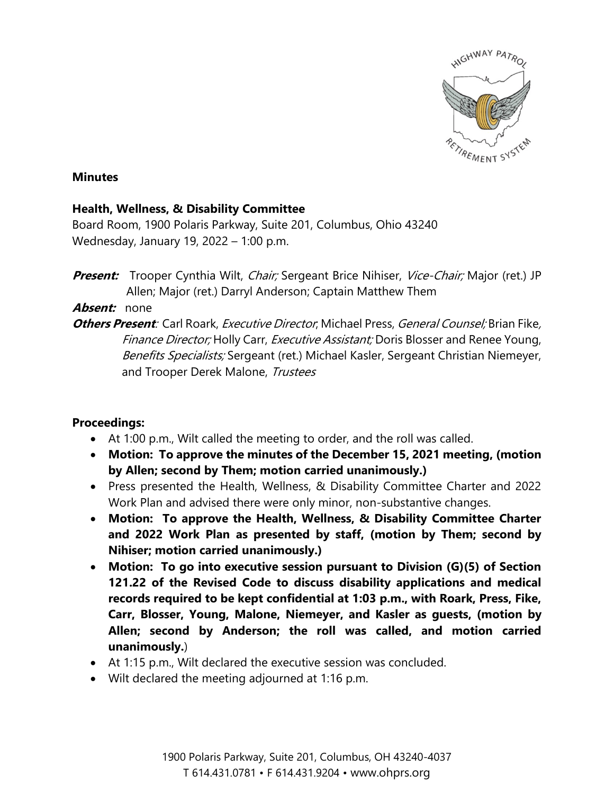

## **Minutes**

## **Health, Wellness, & Disability Committee**

Board Room, 1900 Polaris Parkway, Suite 201, Columbus, Ohio 43240 Wednesday, January 19, 2022 – 1:00 p.m.

**Present:** Trooper Cynthia Wilt, *Chair;* Sergeant Brice Nihiser, *Vice-Chair;* Major (ret.) JP Allen; Major (ret.) Darryl Anderson; Captain Matthew Them

## **Absent:** none

**Others Present**: Carl Roark, Executive Director; Michael Press, General Counsel; Brian Fike, Finance Director; Holly Carr, Executive Assistant; Doris Blosser and Renee Young, Benefits Specialists; Sergeant (ret.) Michael Kasler, Sergeant Christian Niemeyer, and Trooper Derek Malone, Trustees

## **Proceedings:**

- At 1:00 p.m., Wilt called the meeting to order, and the roll was called.
- **Motion: To approve the minutes of the December 15, 2021 meeting, (motion by Allen; second by Them; motion carried unanimously.)**
- Press presented the Health, Wellness, & Disability Committee Charter and 2022 Work Plan and advised there were only minor, non-substantive changes.
- **Motion: To approve the Health, Wellness, & Disability Committee Charter and 2022 Work Plan as presented by staff, (motion by Them; second by Nihiser; motion carried unanimously.)**
- **Motion: To go into executive session pursuant to Division (G)(5) of Section 121.22 of the Revised Code to discuss disability applications and medical records required to be kept confidential at 1:03 p.m., with Roark, Press, Fike, Carr, Blosser, Young, Malone, Niemeyer, and Kasler as guests, (motion by Allen; second by Anderson; the roll was called, and motion carried unanimously.**)
- At 1:15 p.m., Wilt declared the executive session was concluded.
- Wilt declared the meeting adjourned at 1:16 p.m.